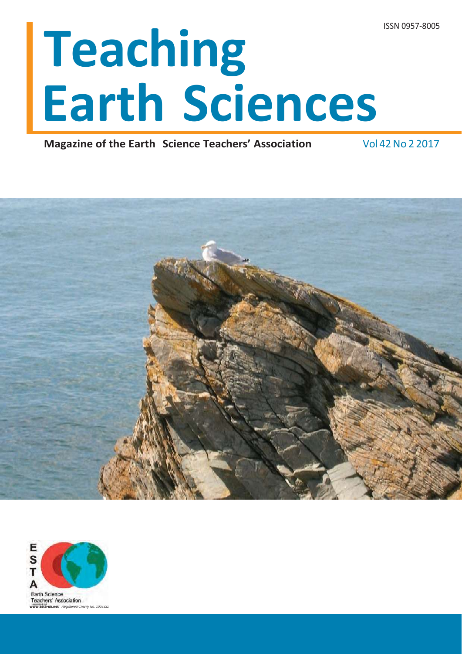# **Teaching Earth Sciences**

**Magazine of the Earth Science Teachers' Association** Vol 42 No 2 2017



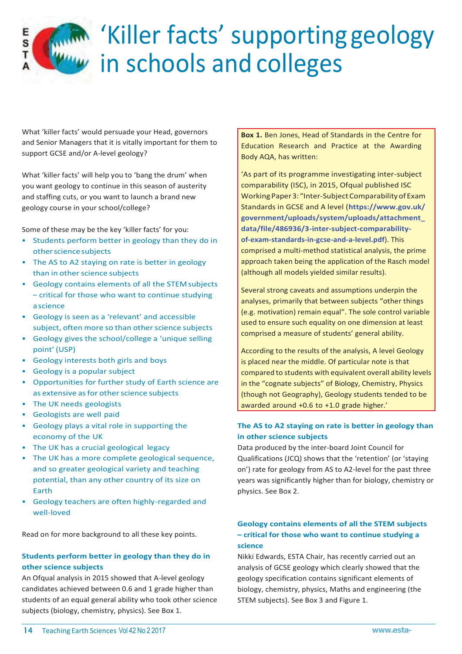## 'Killer facts' supporting geology in schools and colleges

What 'killer facts' would persuade your Head, governors and Senior Managers that it is vitally important for them to support GCSE and/or A-level geology?

Е S

What 'killer facts' will help you to 'bang the drum' when you want geology to continue in this season of austerity and staffing cuts, or you want to launch a brand new geology course in your school/college?

Some of these may be the key 'killer facts' for you:

- Students perform better in geology than they do in other science subjects
- The AS to A2 staying on rate is better in geology than in other science subjects
- Geology contains elements of all the STEM subjects – critical for those who want to continue studying a science
- Geology is seen as a 'relevant' and accessible subject, often more so than other science subjects
- Geology gives the school/college a 'unique selling point' (USP)
- Geology interests both girls and boys
- Geology is a popular subject
- Opportunities for further study of Earth science are as extensive as for other science subjects
- The UK needs geologists
- Geologists are well paid
- Geology plays a vital role in supporting the economy of the UK
- The UK has a crucial geological legacy
- The UK has a more complete geological sequence, and so greater geological variety and teaching potential, than any other country of its size on Earth
- Geology teachers are often highly-regarded and well-loved

Read on for more background to all these key points.

#### **Students perform better in geology than they do in other science subjects**

An Ofqual analysis in 2015 showed that A-level geology candidates achieved between 0.6 and 1 grade higher than students of an equal general ability who took other science subjects (biology, chemistry, physics). See Box 1.

**Box 1.** Ben Jones, Head of Standards in the Centre for Education Research and Practice at the Awarding Body AQA, has written:

'As part of its programme investigating inter-subject comparability (ISC), in 2015, Ofqual published ISC Working Paper 3: "Inter-Subject Comparability of Exam Standards in GCSE and A level (**[https://www.](http://www.gov.uk/)gov.uk/ government/uploads/system/uploads/attachment\_ data/file/486936/3-inter-subject-comparabilityof-exam-standards-in-gcse-and-a-level.pdf**). This comprised a multi-method statistical analysis, the prime approach taken being the application of the Rasch model (although all models yielded similar results).

Several strong caveats and assumptions underpin the analyses, primarily that between subjects "other things (e.g. motivation) remain equal". The sole control variable used to ensure such equality on one dimension at least comprised a measure of students' general ability.

According to the results of the analysis, A level Geology is placed near the middle. Of particular note is that compared to students with equivalent overall ability levels in the "cognate subjects" of Biology, Chemistry, Physics (though not Geography), Geology students tended to be awarded around +0.6 to +1.0 grade higher.'

#### **The AS to A2 staying on rate is better in geology than in other science subjects**

Data produced by the inter-board Joint Council for Qualifications (JCQ) shows that the 'retention' (or 'staying on') rate for geology from AS to A2-level for the past three years was significantly higher than for biology, chemistry or physics. See Box 2.

#### **Geology contains elements of all the STEM subjects – critical for those who want to continue studying a science**

Nikki Edwards, ESTA Chair, has recently carried out an analysis of GCSE geology which clearly showed that the geology specification contains significant elements of biology, chemistry, physics, Maths and engineering (the STEM subjects). See Box 3 and Figure 1.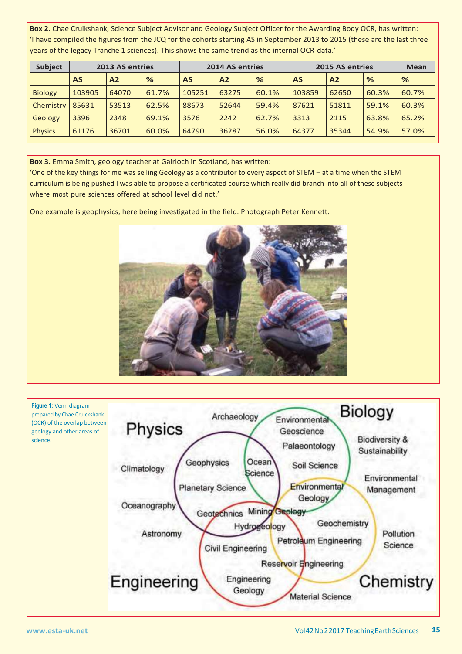**Box 2.** Chae Cruikshank, Science Subject Advisor and Geology Subject Officer for the Awarding Body OCR, has written: 'I have compiled the figures from the JCQ for the cohorts starting AS in September 2013 to 2015 (these are the last three years of the legacy Tranche 1 sciences). This shows the same trend as the internal OCR data.'

| <b>Subject</b> | 2013 AS entries |       |       | 2014 AS entries |                |               | 2015 AS entries |                |       | <b>Mean</b>   |
|----------------|-----------------|-------|-------|-----------------|----------------|---------------|-----------------|----------------|-------|---------------|
|                | <b>AS</b>       | A2    | %     | <b>AS</b>       | A <sub>2</sub> | $\frac{9}{6}$ | <b>AS</b>       | A <sub>2</sub> | %     | $\frac{9}{6}$ |
| <b>Biology</b> | 103905          | 64070 | 61.7% | 105251          | 63275          | 60.1%         | 103859          | 62650          | 60.3% | 60.7%         |
| Chemistry      | 85631           | 53513 | 62.5% | 88673           | 52644          | 59.4%         | 87621           | 51811          | 59.1% | 60.3%         |
| Geology        | 3396            | 2348  | 69.1% | 3576            | 2242           | 62.7%         | 3313            | 2115           | 63.8% | 65.2%         |
| <b>Physics</b> | 61176           | 36701 | 60.0% | 64790           | 36287          | 56.0%         | 64377           | 35344          | 54.9% | 57.0%         |

**Box 3.** Emma Smith, geology teacher at Gairloch in Scotland, has written:

'One of the key things for me was selling Geology as a contributor to every aspect of STEM – at a time when the STEM curriculum is being pushed I was able to propose a certificated course which really did branch into all of these subjects where most pure sciences offered at school level did not.'

One example is geophysics, here being investigated in the field. Photograph Peter Kennett.



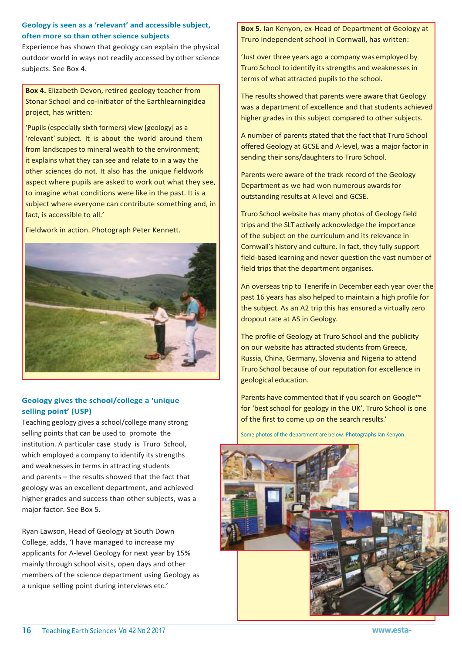#### **Geology is seen as a 'relevant' and accessible subject, often more so than other science subjects**

Experience has shown that geology can explain the physical outdoor world in ways not readily accessed by other science subjects. See Box 4.

**Box 4.** Elizabeth Devon, retired geology teacher from Stonar School and co-initiator of the Earthlearningidea project, has written:

'Pupils (especially sixth formers) view [geology] as a 'relevant' subject. It is about the world around them from landscapes to mineral wealth to the environment; it explains what they can see and relate to in a way the other sciences do not. It also has the unique fieldwork aspect where pupils are asked to work out what they see, to imagine what conditions were like in the past. It is a subject where everyone can contribute something and, in fact, is accessible to all.'

Fieldwork in action. Photograph Peter Kennett.



#### **Geology gives the school/college a 'unique selling point' (USP)**

Teaching geology gives a school/college many strong selling points that can be used to promote the institution. A particular case study is Truro School, which employed a company to identify its strengths and weaknesses in terms in attracting students and parents – the results showed that the fact that geology was an excellent department, and achieved higher grades and success than other subjects, was a major factor. See Box 5.

Ryan Lawson, Head of Geology at South Down College, adds, 'I have managed to increase my applicants for A-level Geology for next year by 15% mainly through school visits, open days and other members of the science department using Geology as a unique selling point during interviews etc.'

**Box 5.** Ian Kenyon, ex-Head of Department of Geology at Truro independent school in Cornwall, has written:

'Just over three years ago a company was employed by Truro School to identify its strengths and weaknesses in terms of what attracted pupils to the school.

The results showed that parents were aware that Geology was a department of excellence and that students achieved higher grades in this subject compared to other subjects.

A number of parents stated that the fact that Truro School offered Geology at GCSE and A-level, was a major factor in sending their sons/daughters to Truro School.

Parents were aware of the track record of the Geology Department as we had won numerous awards for outstanding results at A level and GCSE.

Truro School website has many photos of Geology field trips and the SLT actively acknowledge the importance of the subject on the curriculum and its relevance in Cornwall's history and culture. In fact, they fully support field-based learning and never question the vast number of field trips that the department organises.

An overseas trip to Tenerife in December each year over the past 16 years has also helped to maintain a high profile for the subject. As an A2 trip this has ensured a virtually zero dropout rate at AS in Geology.

The profile of Geology at Truro School and the publicity on our website has attracted students from Greece, Russia, China, Germany, Slovenia and Nigeria to attend Truro School because of our reputation for excellence in geological education.

Parents have commented that if you search on Google™ for 'best school for geology in the UK', Truro School is one of the first to come up on the search results.'

Some photos of the department are below. Photographs Ian Kenyon.

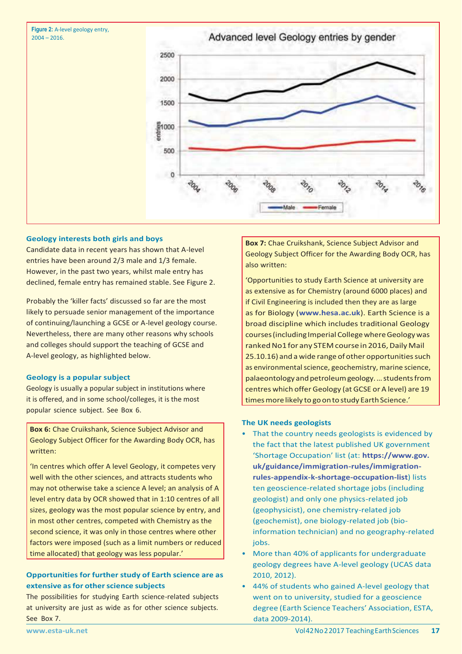



#### **Geology interests both girls and boys**

Candidate data in recent years has shown that A-level entries have been around 2/3 male and 1/3 female. However, in the past two years, whilst male entry has declined, female entry has remained stable. See Figure 2.

Probably the 'killer facts' discussed so far are the most likely to persuade senior management of the importance of continuing/launching a GCSE or A-level geology course. Nevertheless, there are many other reasons why schools and colleges should support the teaching of GCSE and A-level geology, as highlighted below.

#### **Geology is a popular subject**

Geology is usually a popular subject in institutions where it is offered, and in some school/colleges, it is the most popular science subject. See Box 6.

**Box 6:** Chae Cruikshank, Science Subject Advisor and Geology Subject Officer for the Awarding Body OCR, has written:

'In centres which offer A level Geology, it competes very well with the other sciences, and attracts students who may not otherwise take a science A level; an analysis of A level entry data by OCR showed that in 1:10 centres of all sizes, geology was the most popular science by entry, and in most other centres, competed with Chemistry as the second science, it was only in those centres where other factors were imposed (such as a limit numbers or reduced time allocated) that geology was less popular.'

#### **Opportunities for further study of Earth science are as extensive as for other science subjects**

The possibilities for studying Earth science-related subjects at university are just as wide as for other science subjects. See Box 7.

**Box 7:** Chae Cruikshank, Science Subject Advisor and Geology Subject Officer for the Awarding Body OCR, has also written:

'Opportunities to study Earth Science at university are as extensive as for Chemistry (around 6000 places) and if Civil Engineering is included then they are as large as for Biology (**www.hesa.ac.uk**). Earth Science is a broad discipline which includes traditional Geology courses (including Imperial College where Geology was ranked No1 for any STEM course in 2016, Daily Mail 25.10.16) and a wide range of other opportunities such as environmental science, geochemistry, marine science, palaeontology and petroleum geology. ... students from centres which offer Geology (at GCSE or A level) are 19 times more likely to go on to study Earth Science.'

#### **The UK needs geologists**

- That the country needs geologists is evidenced by the fact that the latest published UK government 'Shortage Occupation' list (at: **https://www.gov. uk/guidance/immigration-rules/immigrationrules-appendix-k-shortage-occupation-list**) lists ten geoscience-related shortage jobs (including geologist) and only one physics-related job (geophysicist), one chemistry-related job (geochemist), one biology-related job (bioinformation technician) and no geography-related jobs.
- More than 40% of applicants for undergraduate geology degrees have A-level geology (UCAS data 2010, 2012).
- 44% of students who gained A-level geology that went on to university, studied for a geoscience degree (Earth Science Teachers' Association, ESTA, data 2009-2014).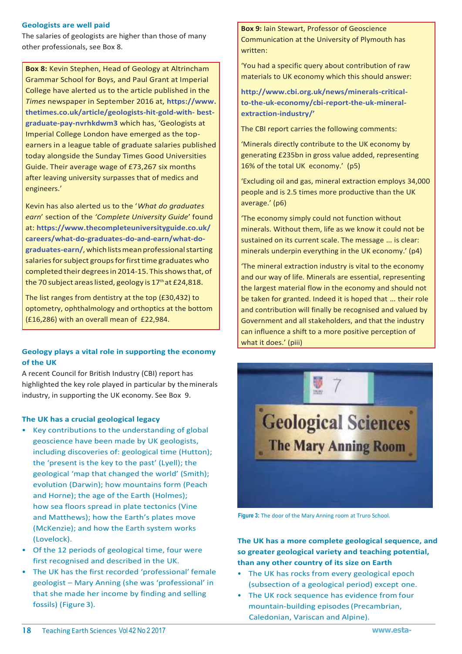#### **Geologists are well paid**

The salaries of geologists are higher than those of many other professionals, see Box 8.

**Box 8:** Kevin Stephen, Head of Geology at Altrincham Grammar School for Boys, and Paul Grant at Imperial College have alerted us to the article published in the *Times* newspaper in September 2016 at, **[https://www.](http://www/) thetimes.co.uk/article/geologists-hit-gold-with- bestgraduate-pay-nvrhkdwm3** which has, 'Geologists at Imperial College London have emerged as the topearners in a league table of graduate salaries published today alongside the Sunday Times Good Universities Guide. Their average wage of £73,267 six months after leaving university surpasses that of medics and engineers.'

Kevin has also alerted us to the '*What do graduates earn*' section of the *'Complete University Guide*' found at: **[https://www.thecompleteuniversityguide.co.uk/](http://www.thecompleteuniversityguide.co.uk/) careers/what-do-graduates-do-and-earn/what-dograduates-earn/**,whichlistsmeanprofessionalstarting salaries for subject groups for first time graduates who completed their degrees in 2014-15. This shows that, of the 70 subject areas listed, geology is 17<sup>th</sup> at £24,818.

The list ranges from dentistry at the top (£30,432) to optometry, ophthalmology and orthoptics at the bottom (£16,286) with an overall mean of £22,984.

#### **Geology plays a vital role in supporting the economy of the UK**

A recent Council for British Industry (CBI) report has highlighted the key role played in particular by the minerals industry, in supporting the UK economy. See Box 9.

#### **The UK has a crucial geological legacy**

- Key contributions to the understanding of global geoscience have been made by UK geologists, including discoveries of: geological time (Hutton); the 'present is the key to the past' (Lyell); the geological 'map that changed the world' (Smith); evolution (Darwin); how mountains form (Peach and Horne); the age of the Earth (Holmes); how sea floors spread in plate tectonics (Vine and Matthews); how the Earth's plates move (McKenzie); and how the Earth system works (Lovelock).
- Of the 12 periods of geological time, four were first recognised and described in the UK.
- The UK has the first recorded 'professional' female geologist – Mary Anning (she was 'professional' in that she made her income by finding and selling fossils) (Figure 3).

**Box 9:** Iain Stewart, Professor of Geoscience Communication at the University of Plymouth has written:

'You had a specific query about contribution of raw materials to UK economy which this should answer:

**[http://www.cbi.org.uk/news/minerals-critical](http://www.cbi.org.uk/news/minerals-critical-)to-the-uk-economy/cbi-report-the-uk-mineralextraction-industry/'**

The CBI report carries the following comments:

'Minerals directly contribute to the UK economy by generating £235bn in gross value added, representing 16% of the total UK economy.' (p5)

'Excluding oil and gas, mineral extraction employs 34,000 people and is 2.5 times more productive than the UK average.' (p6)

'The economy simply could not function without minerals. Without them, life as we know it could not be sustained on its current scale. The message … is clear: minerals underpin everything in the UK economy.' (p4)

'The mineral extraction industry is vital to the economy and our way of life. Minerals are essential, representing the largest material flow in the economy and should not be taken for granted. Indeed it is hoped that … their role and contribution will finally be recognised and valued by Government and all stakeholders, and that the industry can influence a shift to a more positive perception of what it does.' (piii)



**Figure 3:** The door of the Mary Anning room at Truro School.

**The UK has a more complete geological sequence, and so greater geological variety and teaching potential, than any other country of its size on Earth**

- The UK has rocks from every geological epoch (subsection of a geological period) except one.
- The UK rock sequence has evidence from four mountain-building episodes (Precambrian, Caledonian, Variscan and Alpine).